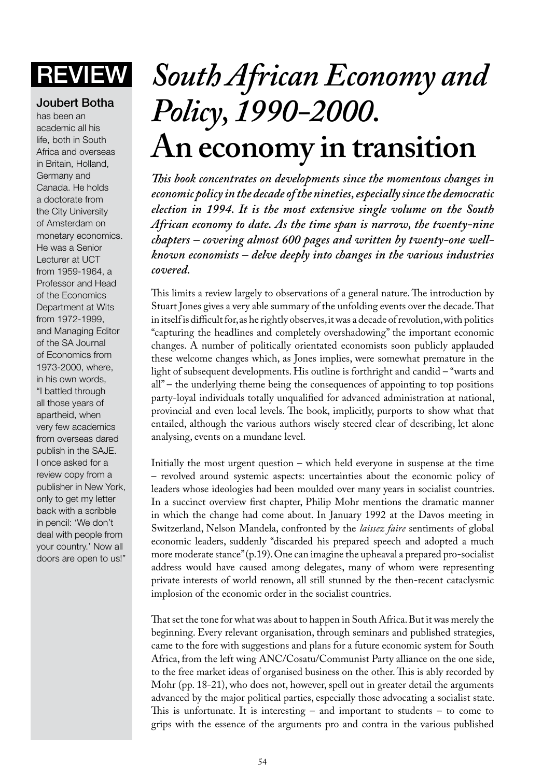## Joubert Botha

has been an academic all his life, both in South Africa and overseas in Britain, Holland, Germany and Canada. He holds a doctorate from the City University of Amsterdam on monetary economics. He was a Senior Lecturer at UCT from 1959-1964, a Professor and Head of the Economics Department at Wits from 1972-1999, and Managing Editor of the SA Journal of Economics from 1973-2000, where, in his own words, "I battled through all those years of apartheid, when very few academics from overseas dared publish in the SAJE. I once asked for a review copy from a publisher in New York, only to get my letter back with a scribble in pencil: 'We don't deal with people from your country.' Now all doors are open to us!"

## **REVIEW** *South African Economy and Policy, 1990-2000.* **An economy in transition**

*This book concentrates on developments since the momentous changes in economic policy in the decade of the nineties, especially since the democratic election in 1994. It is the most extensive single volume on the South African economy to date. As the time span is narrow, the twenty-nine chapters – covering almost 600 pages and written by twenty-one wellknown economists – delve deeply into changes in the various industries covered.*

This limits a review largely to observations of a general nature. The introduction by Stuart Jones gives a very able summary of the unfolding events over the decade. That in itself is difficult for, as he rightly observes, it was a decade of revolution, with politics "capturing the headlines and completely overshadowing" the important economic changes. A number of politically orientated economists soon publicly applauded these welcome changes which, as Jones implies, were somewhat premature in the light of subsequent developments. His outline is forthright and candid – "warts and all" – the underlying theme being the consequences of appointing to top positions party-loyal individuals totally unqualified for advanced administration at national, provincial and even local levels. The book, implicitly, purports to show what that entailed, although the various authors wisely steered clear of describing, let alone analysing, events on a mundane level.

Initially the most urgent question – which held everyone in suspense at the time – revolved around systemic aspects: uncertainties about the economic policy of leaders whose ideologies had been moulded over many years in socialist countries. In a succinct overview first chapter, Philip Mohr mentions the dramatic manner in which the change had come about. In January 1992 at the Davos meeting in Switzerland, Nelson Mandela, confronted by the *laissez faire* sentiments of global economic leaders, suddenly "discarded his prepared speech and adopted a much more moderate stance" (p.19). One can imagine the upheaval a prepared pro-socialist address would have caused among delegates, many of whom were representing private interests of world renown, all still stunned by the then-recent cataclysmic implosion of the economic order in the socialist countries.

That set the tone for what was about to happen in South Africa. But it was merely the beginning. Every relevant organisation, through seminars and published strategies, came to the fore with suggestions and plans for a future economic system for South Africa, from the left wing ANC/Cosatu/Communist Party alliance on the one side, to the free market ideas of organised business on the other. This is ably recorded by Mohr (pp. 18-21), who does not, however, spell out in greater detail the arguments advanced by the major political parties, especially those advocating a socialist state. This is unfortunate. It is interesting – and important to students – to come to grips with the essence of the arguments pro and contra in the various published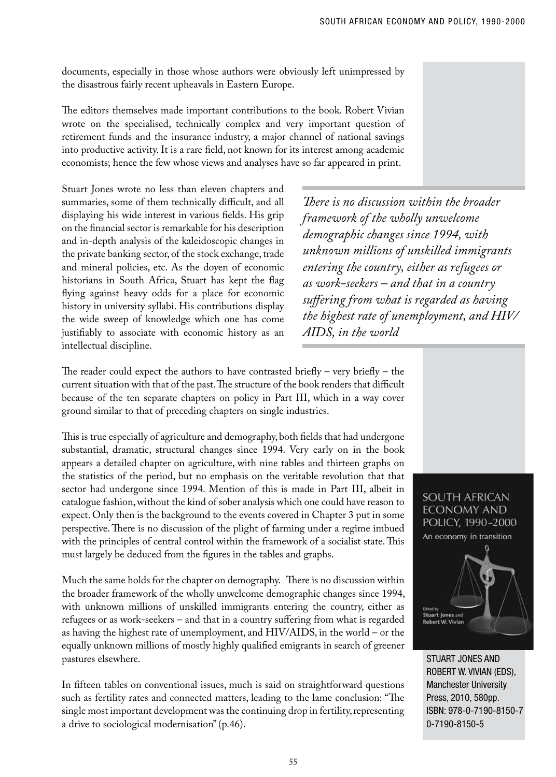documents, especially in those whose authors were obviously left unimpressed by the disastrous fairly recent upheavals in Eastern Europe.

The editors themselves made important contributions to the book. Robert Vivian wrote on the specialised, technically complex and very important question of retirement funds and the insurance industry, a major channel of national savings into productive activity. It is a rare field, not known for its interest among academic economists; hence the few whose views and analyses have so far appeared in print.

Stuart Jones wrote no less than eleven chapters and summaries, some of them technically difficult, and all displaying his wide interest in various fields. His grip on the financial sector is remarkable for his description and in-depth analysis of the kaleidoscopic changes in the private banking sector, of the stock exchange, trade and mineral policies, etc. As the doyen of economic historians in South Africa, Stuart has kept the flag flying against heavy odds for a place for economic history in university syllabi. His contributions display the wide sweep of knowledge which one has come justifiably to associate with economic history as an intellectual discipline.

*There is no discussion within the broader framework of the wholly unwelcome demographic changes since 1994, with unknown millions of unskilled immigrants entering the country, either as refugees or as work-seekers – and that in a country suffering from what is regarded as having the highest rate of unemployment, and HIV/ AIDS, in the world*

The reader could expect the authors to have contrasted briefly – very briefly – the current situation with that of the past. The structure of the book renders that difficult because of the ten separate chapters on policy in Part III, which in a way cover ground similar to that of preceding chapters on single industries.

This is true especially of agriculture and demography, both fields that had undergone substantial, dramatic, structural changes since 1994. Very early on in the book appears a detailed chapter on agriculture, with nine tables and thirteen graphs on the statistics of the period, but no emphasis on the veritable revolution that that sector had undergone since 1994. Mention of this is made in Part III, albeit in catalogue fashion, without the kind of sober analysis which one could have reason to expect. Only then is the background to the events covered in Chapter 3 put in some perspective. There is no discussion of the plight of farming under a regime imbued with the principles of central control within the framework of a socialist state. This must largely be deduced from the figures in the tables and graphs.

Much the same holds for the chapter on demography. There is no discussion within the broader framework of the wholly unwelcome demographic changes since 1994, with unknown millions of unskilled immigrants entering the country, either as refugees or as work-seekers – and that in a country suffering from what is regarded as having the highest rate of unemployment, and HIV/AIDS, in the world – or the equally unknown millions of mostly highly qualified emigrants in search of greener pastures elsewhere.

In fifteen tables on conventional issues, much is said on straightforward questions such as fertility rates and connected matters, leading to the lame conclusion: "The single most important development was the continuing drop in fertility, representing a drive to sociological modernisation" (p.46).



Stuart Jones and Robert W. Vivian (eds), Manchester University Press, 2010, 580pp. ISBN: 978-0-7190-8150-7 0-7190-8150-5